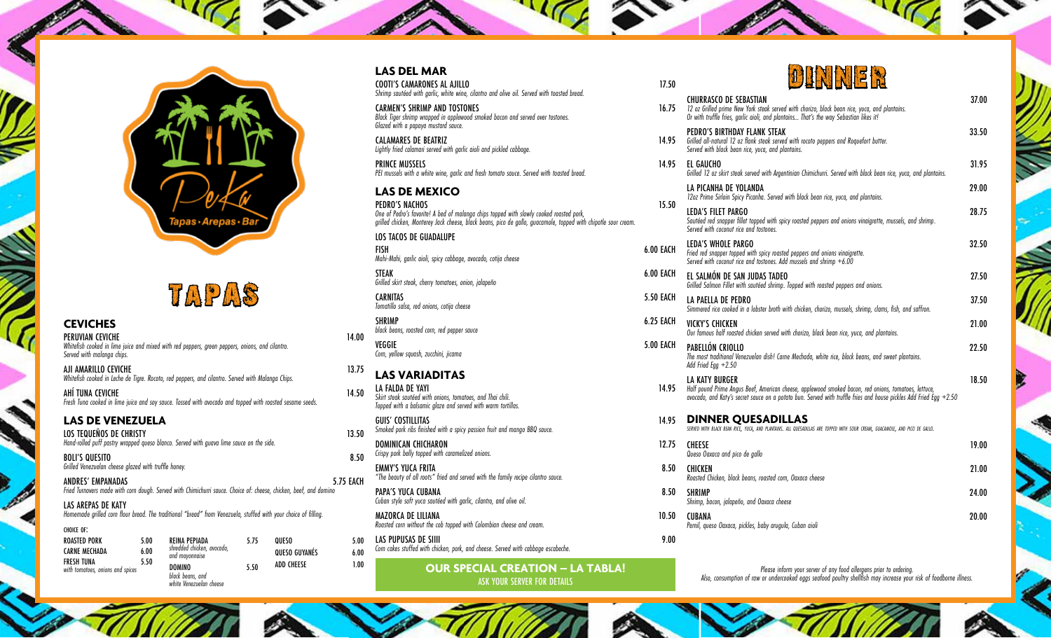

# TaPAS

#### **CEVICHES**

PERUVIAN CEVICHE 14.00 *Whitefish cooked in lime juice and mixed with red peppers, green peppers, onions, and cilantro. Served with malanga chips.*

AJI AMARILLO CEVICHE 23.75 *Whitefish cooked in Leche de Tigre. Rocoto, red peppers, and cilantro. Served with Malanga Chips.*

AHÍ TUNA CEVICHE 14.50 *Fresh Tuna cooked in lime juice and soy sauce. Tossed with avocado and topped with roasted sesame seeds.*

**LAS DE VENEZUELA**

k.

LOS TEQUEÑOS DE CHRISTY **13.50** *Hand-rolled puff pastry wrapped queso blanco. Served with guava lime sauce on the side.* 

BOLI'S QUESITO 8.50 *Grilled Venezuelan cheese glazed with truffle honey.* 

ANDRES' EMPANADAS 5.75 EACH *Fried Turnovers made with corn dough. Served with Chimichurri sauce. Choice of: cheese, chicken, beef, and domino* 

LAS AREPAS DE KATY *Homemade grilled corn flour bread. The traditional "bread" from Venezuela, stuffed with your choice of filling.* 

| CHOICE OF:                                     |      |                                                              |               |      | - ROUSTED COTT WITHOUT THE COD-TOPPED WITH COLORIDIQII CHEESE UND CLEDIN.         |      | rernii, queso vaxaca, pickies, baby aruguia, Cuban aioil                                                                                                                                  |
|------------------------------------------------|------|--------------------------------------------------------------|---------------|------|-----------------------------------------------------------------------------------|------|-------------------------------------------------------------------------------------------------------------------------------------------------------------------------------------------|
| ROASTED PORK                                   | 5.00 | REINA PEPIADA                                                | QUESO         | 5.00 | LAS PUPUSAS DE SIIII                                                              | 9.00 |                                                                                                                                                                                           |
| <b>CARNE MECHADA</b>                           | 6.00 | shredded chicken, avocado,<br>and mayonnaise                 | QUESO GUYANÉS | 6.00 | Corn cakes stuffed with chicken, pork, and cheese. Served with cabbage escabeche. |      |                                                                                                                                                                                           |
| FRESH TUNA<br>with tomatoes, onions and spices |      | <b>DOMINO</b><br>black beans, and<br>white Venezuelan cheese | ADD CHEESE    | 1.00 | <b>OUR SPECIAL CREATION - LA TABLA!</b><br>ASK YOUR SERVER FOR DETAILS            |      | Please inform your server of any food allergens prior to ordering.<br>Also, consumption of raw or undercooked eggs seafood poultry shellfish may increase your risk of foodborne illness. |

#### **LAS DEL MAR**

COOTI'S CAMARONES AL AJILLO 17.50 *Shrimp sautéed with garlic, white wine, cilantro and olive oil. Served with toasted bread.*

CARMEN'S SHRIMP AND TOSTONES **16.755 FMS** *Black Tiger shrimp wrapped in applewood smoked bacon and served over tostones. Glazed with a papaya mustard sauce.*

CALAMARES DE BEATRIZ 14.9 *Lightly fried calamari served with garlic aioli and pickled cabbage.* 

PRINCE MUSSELS 14.95 *PEI mussels with a white wine, garlic and fresh tomato sauce. Served with toasted bread.* 

**LAS DE MEXICO PEDRO'S NACHOS**<br>One of Pedro's favorite! A bed of malanga chips topped with slowly cooked roasted pork,<br>grilled chicken, Monterey Jack cheese, black beans, pico de gallo, guacamole, topped with chipotle sour cream.

LOS TACOS DE GUADALUPE

FISH 6.00 EACH *Mahi-Mahi, garlic aioli, spicy cabbage, avocado, cotija cheese*

STEAK 6.00 EACH *Grilled skirt steak, cherry tomatoes, onion, jalapeño*

**CARNITAS** 5.50 EACH *Tomatillo salsa, red onions, cotija cheese*

SHRIMP 6.25 EACH *black beans, roasted corn, red pepper sauce* VEGGIE 5.00 EACH *Corn, yellow squash, zucchini, jicama*

### **LAS VARIADITAS**

LA FALDA DE YAYI 14.95 *Skirt steak sautéed with onions, tomatoes, and Thai chili. Topped with a balsamic glaze and served with warm tortillas.* 

GUIS' COSTILLITAS 14.95 *Smoked pork ribs finished with a spicy passion fruit and mango BBQ sauce.*

DOMINICAN CHICHARON 12.75 *Crispy pork belly topped with caramelized onions.*

EMMY'S YUCA FRITA 8. *"The beauty of all roots" fried and served with the family recipe cilantro sauce.* 

PAPA'S YUCA CUBANA *Cuban style soft yuca sautéed with garlic, cilantro, and olive oil.* 

MAZORCA DE LILIANA 10.500 POSTAGO E A ESTE ELECTRONICA ELECTRONICA ELECTRONICA ELECTRONICA ELECTRONICA ELECTRONICA ELECTRONICA ELECTRONICA ELECTRONICA ELECTRONICA ELECTRONICA ELECTRONICA ELECTRONICA ELECTRONICA ELECTRONICA *Roasted corn without the cob topped with Colombian cheese and cream.*



| .)U | <u> Jeune Brenden</u>                                                                                                                                                                                                                       |       |
|-----|---------------------------------------------------------------------------------------------------------------------------------------------------------------------------------------------------------------------------------------------|-------|
| .75 | <b>CHURRASCO DE SEBASTIAN</b><br>12 oz Grilled prime New York steak served with chorizo, black bean rice, yuca, and plantains.<br>Or with truffle fries, garlic aioli, and plantains That's the way Sebastian likes it!                     | 37.00 |
| 95  | PEDRO'S BIRTHDAY FLANK STEAK<br>Grilled all-natural 12 oz flank steak served with rocoto peppers and Roquefort butter.<br>Served with black bean rice, yuca, and plantains.                                                                 | 33.50 |
| 95  | EL GAUCHO<br>Grilled 12 oz skirt steak served with Argentinian Chimichurri. Served with black bean rice, yuca, and plantains.                                                                                                               | 31.95 |
|     | LA PICANHA DE YOLANDA<br>12oz Prime Sirloin Spicy Picanha. Served with black bean rice, yuca, and plantains.                                                                                                                                | 29.00 |
| 50  | <b>LEDA'S FILET PARGO</b><br>Sautéed red snapper fillet topped with spicy roasted peppers and onions vinaigrette, mussels, and shrimp.<br>Served with coconut rice and tostones.                                                            | 28.75 |
| CH  | LEDA'S WHOLE PARGO<br>Fried red snapper topped with spicy roasted peppers and onions vinaigrette.<br>Served with coconut rice and tostones. Add mussels and shrimp $+6.00$                                                                  | 32.50 |
| CH  | EL SALMÓN DE SAN JUDAS TADEO<br>Grilled Salmon Fillet with sautéed shrimp. Topped with roasted peppers and onions.                                                                                                                          | 27.50 |
| CH  | LA PAELLA DE PEDRO<br>Simmered rice cooked in a lobster broth with chicken, chorizo, mussels, shrimp, clams, fish, and saffron.                                                                                                             | 37.50 |
| CH  | VICKY'S CHICKEN<br>Our famous half roasted chicken served with chorizo, black bean rice, yuca, and plantains.                                                                                                                               | 21.00 |
| CH  | PABFIIÓN CRIOIIO<br>The most traditional Venezuelan dish! Carne Mechada, white rice, black beans, and sweet plantains.<br>Add Fried Egg $+2.50$                                                                                             | 22.50 |
| 95  | IA KATY BURGFR<br>Half pound Prime Angus Beef, American cheese, applewood smoked bacon, red onions, tomatoes, lettuce,<br>avocado, and Katy's secret sauce on a potato bun. Served with truffle fries and house pickles Add Fried Egg +2.50 | 18.50 |
| 95  | <b>DINNER QUESADILLAS</b><br>SERVED WITH BLACK BEAN RICE, YUCA, AND PLANTAINS. ALL QUESADILLAS ARE TOPPED WITH SOUR CREAM, GUACAMOLE, AND PICO DE GALLO.                                                                                    |       |
| .75 | <b>CHFFSF</b><br>Queso Oaxaca and pico de gallo                                                                                                                                                                                             | 19.00 |
| 50  | <b>CHICKEN</b><br>Roasted Chicken, black beans, roasted corn, Oaxaca cheese                                                                                                                                                                 | 21.00 |
| 50  | <b>SHRIMP</b><br>Shrimp, bacon, jalapeño, and Oaxaca cheese                                                                                                                                                                                 | 24.00 |
| 50  | <b>CUBANA</b><br>Pernil, queso Oaxaca, pickles, baby arugula, Cuban aioli                                                                                                                                                                   | 20.00 |
| 00  |                                                                                                                                                                                                                                             |       |